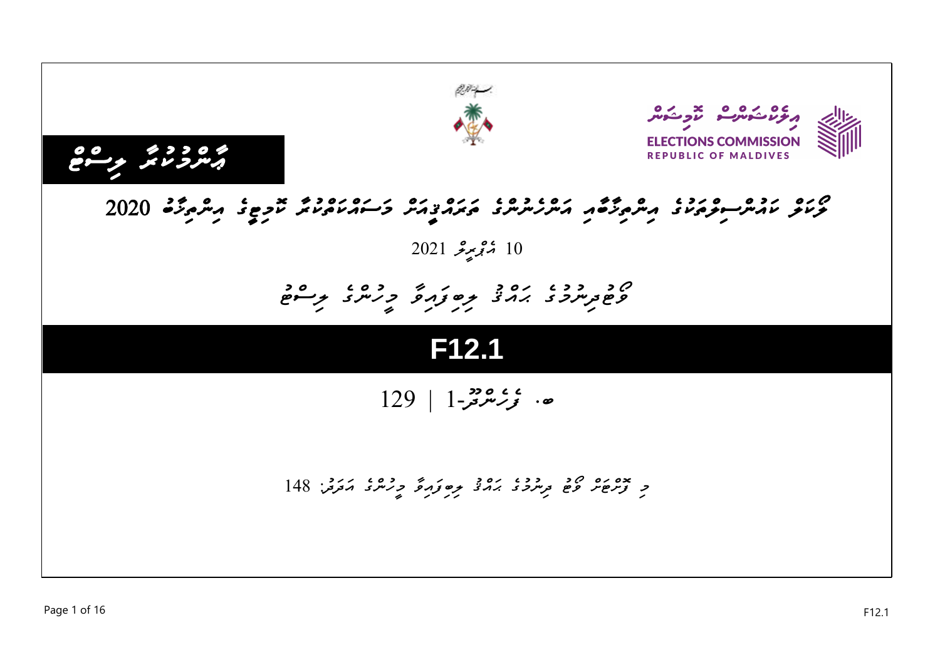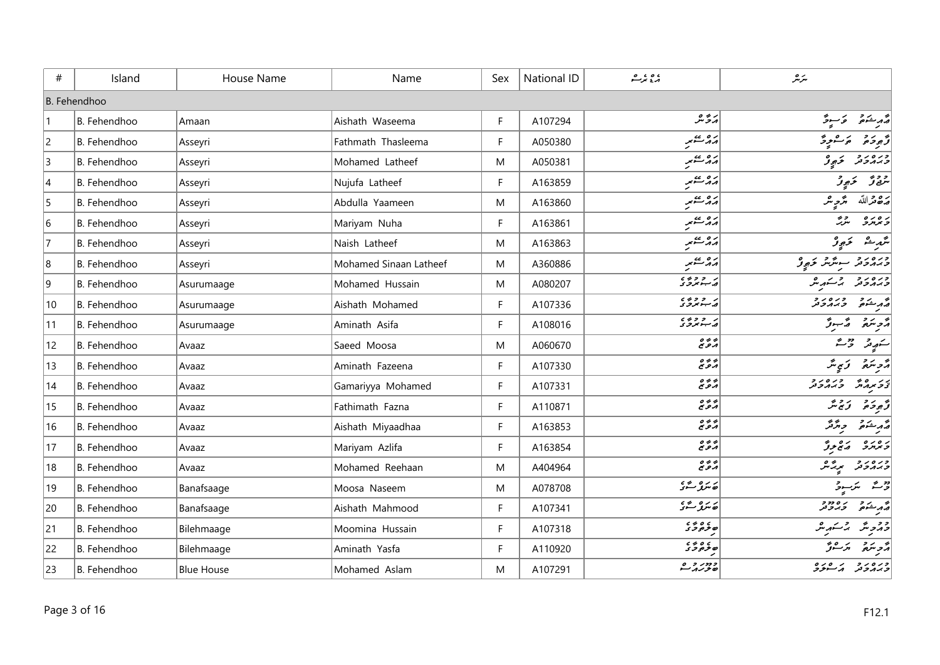| #              | Island       | House Name        | Name                   | Sex         | National ID | ، ه ، ره<br>د <u>،</u> برگ    | ىئرىتر                                         |
|----------------|--------------|-------------------|------------------------|-------------|-------------|-------------------------------|------------------------------------------------|
|                | B. Fehendhoo |                   |                        |             |             |                               |                                                |
|                | B. Fehendhoo | Amaan             | Aishath Waseema        | $\mathsf F$ | A107294     | ىر ئەھ                        | أقهر شكافه المحاسبوق                           |
| $\overline{c}$ | B. Fehendhoo | Asseyri           | Fathmath Thasleema     | F           | A050380     | لمروعيمر                      | توجوجو المراع ويحرج                            |
| $\overline{3}$ | B. Fehendhoo | Asseyri           | Mohamed Latheef        | M           | A050381     | لره يهمبر                     | ورەرو كەبى                                     |
| 4              | B. Fehendhoo | Asseyri           | Nujufa Latheef         | F           | A163859     | بره <sup>یں</sup> بر          | پروژ کروژ                                      |
| 5              | B. Fehendhoo | Asseyri           | Abdulla Yaameen        | M           | A163860     | ره <sup>ی</sup> پر            | ېزېر شر<br><mark>بر25</mark> لله               |
| $\,$ 6 $\,$    | B. Fehendhoo | Asseyri           | Mariyam Nuha           | $\mathsf F$ | A163861     | بره <sup>ی</sup><br>مرد سنوسر | سرمير<br>ر ه ر ه<br>د بربرگ                    |
| $\overline{7}$ | B. Fehendhoo | Asseyri           | Naish Latheef          | ${\sf M}$   | A163863     | رە ي <sub>ە</sub>             | شرىش ئەۋر                                      |
| 8              | B. Fehendhoo | Asseyri           | Mohamed Sinaan Latheef | ${\sf M}$   | A360886     | بره <sup>یں</sup> بر          | ويرورو سوشر كورو                               |
| 9              | B. Fehendhoo | Asurumaage        | Mohamed Hussain        | M           | A080207     | ر په ده ده د<br>تر سومرو د    | ورەرو وسكهرىگ                                  |
| $10$           | B. Fehendhoo | Asurumaage        | Aishath Mohamed        | F           | A107336     | ر و و ده ،<br>پرسومرو د       | أشهر وره دره                                   |
| 11             | B. Fehendhoo | Asurumaage        | Aminath Asifa          | F           | A108016     | ر د د ده د<br>پرسه برو د      | ۇ ئەيدە ئەسىر                                  |
| 12             | B. Fehendhoo | Avaaz             | Saeed Moosa            | ${\sf M}$   | A060670     | پر ده<br>در ه                 | سَمرِ پڑھ میں ح                                |
| 13             | B. Fehendhoo | Avaaz             | Aminath Fazeena        | F           | A107330     | پر په ه<br>در ون              | أترج منتهج تزيي مثن                            |
| 14             | B. Fehendhoo | Avaaz             | Gamariyya Mohamed      | F           | A107331     | پر په ه<br>در ون              | גן קסיף בגוסקיר                                |
| 15             | B. Fehendhoo | Avaaz             | Fathimath Fazna        | $\mathsf F$ | A110871     | پر په ه<br>در ون              | وَجوحَة وَجْسَّ                                |
| 16             | B. Fehendhoo | Avaaz             | Aishath Miyaadhaa      | F           | A163853     | پر ده م                       | م الله عليه الله عليه المحمد                   |
| 17             | B. Fehendhoo | Avaaz             | Mariyam Azlifa         | F           | A163854     | پر ده م                       | و ده ده ده کاروگر                              |
| 18             | B. Fehendhoo | Avaaz             | Mohamed Reehaan        | M           | A404964     | پر ده م                       | برجمعه<br>و ر ه ر و<br>د بر پر <del>و</del> تر |
| 19             | B. Fehendhoo | Banafsaage        | Moosa Naseem           | M           | A078708     | ە ئىروپىيى                    | ا <i>دهگ</i> سرگرده<br>ا                       |
| 20             | B. Fehendhoo | Banafsaage        | Aishath Mahmood        | F           | A107341     | ە ئىرە مەي                    | ه در ده ده دود<br>مهرشتمو وبروتر               |
| 21             | B. Fehendhoo | Bilehmaage        | Moomina Hussain        | F           | A107318     | صخره څري                      | ورموس برستهرس                                  |
| 22             | B. Fehendhoo | Bilehmaage        | Aminath Yasfa          | F           | A110920     | <br> ح تر مر تر <sub>ک</sub>  | أزجه سره وراث ومحر                             |
| 23             | B. Fehendhoo | <b>Blue House</b> | Mohamed Aslam          | M           | A107291     | و دور و ه<br><i>ه می د</i> ۸  | وره دو بر ۱۵۷۵                                 |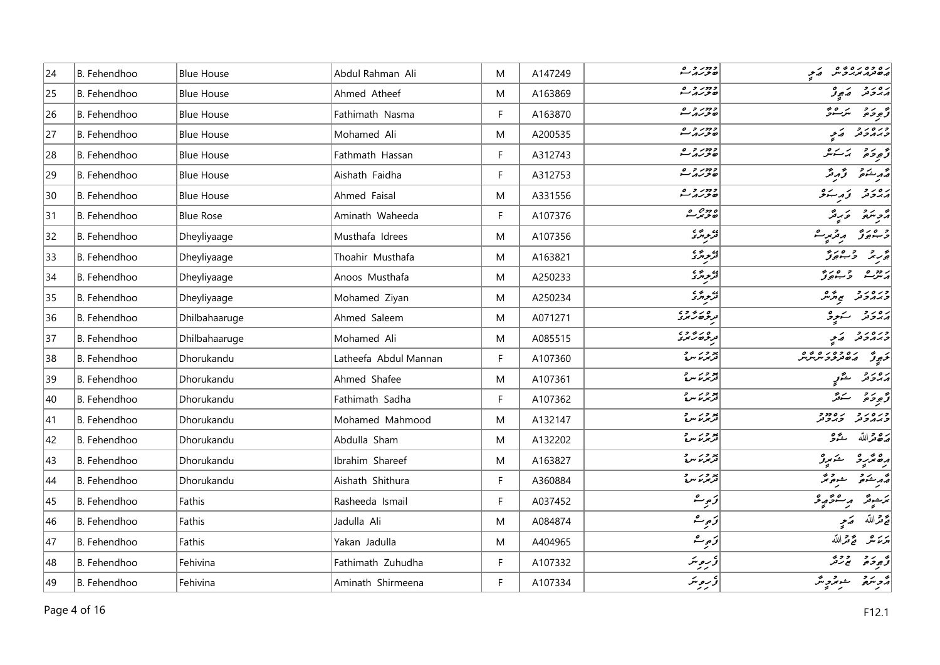| 24 | B. Fehendhoo | <b>Blue House</b> | Abdul Rahman Ali      | M  | A147249 | د دور د ه<br><i>ه می ب</i> ه ک     | ره وه ره ده ه د کرم                                              |
|----|--------------|-------------------|-----------------------|----|---------|------------------------------------|------------------------------------------------------------------|
| 25 | B. Fehendhoo | <b>Blue House</b> | Ahmed Atheef          | M  | A163869 | ە دەر دەر                          | پروتر   په پور                                                   |
| 26 | B. Fehendhoo | <b>Blue House</b> | Fathimath Nasma       | F  | A163870 | و دور و ه<br><i>ه می د</i> پر      | ىئرسىۋ<br>قرم تر حر                                              |
| 27 | B. Fehendhoo | <b>Blue House</b> | Mohamed Ali           | M  | A200535 | و دور و ه<br><i>ه م</i> ر ژگر      | ورەرو كې                                                         |
| 28 | B. Fehendhoo | <b>Blue House</b> | Fathmath Hassan       | F  | A312743 | د دور د ه<br><i>ه می د</i> ۸       | ۇي <sub>م</sub> وخۇ ئەسكىر                                       |
| 29 | B. Fehendhoo | <b>Blue House</b> | Aishath Faidha        | F  | A312753 | ە دەر دەر                          | أقهر مشكم وتحرقه                                                 |
| 30 | B. Fehendhoo | <b>Blue House</b> | Ahmed Faisal          | Μ  | A331556 | ە دەر دەر                          | أرەر دەرىنى                                                      |
| 31 | B. Fehendhoo | <b>Blue Rose</b>  | Aminath Waheeda       | F  | A107376 | ە دەم ھ                            | أترجر تنعم وأبيقه                                                |
| 32 | B. Fehendhoo | Dheyliyaage       | Musthafa Idrees       | M  | A107356 | ء،<br>تر <sub>م</sub> وپژی         | و وړو په دريد د                                                  |
| 33 | B. Fehendhoo | Dheyliyaage       | Thoahir Musthafa      | M  | A163821 | ر<br>ترمرگری                       | أيجربر ومدير                                                     |
| 34 | B. Fehendhoo | Dheyliyaage       | Anoos Musthafa        | M  | A250233 | ن پر پر پر<br>قرمز پر              | بر دو م<br>ح ب ور پر<br>ح ب ج و                                  |
| 35 | B. Fehendhoo | Dheyliyaage       | Mohamed Ziyan         | M  | A250234 | ر،<br>ترموبری                      | ورەر دىھر                                                        |
| 36 | B. Fehendhoo | Dhilbahaaruge     | Ahmed Saleem          | Μ  | A071271 | و ره رو و د<br>ترنون رسمرد         | پروژو<br>سەرد                                                    |
| 37 | B. Fehendhoo | Dhilbahaaruge     | Mohamed Ali           | M  | A085515 | و ره رو و ،<br>ترتز <i>ه ر</i> گری | ورەر د كمپر                                                      |
| 38 | B. Fehendhoo | Dhorukandu        | Latheefa Abdul Mannan | F  | A107360 | پر ور<br>تر <i>بر با</i> س         | ر ه و و ر ه ر و .<br>هان فرمز تر سرس<br>  تَرْجٍ تَرُّ           |
| 39 | B. Fehendhoo | Dhorukandu        | Ahmed Shafee          | M  | A107361 | پر ور<br>تر <i>بر را</i> سرچ       | بر 2 د د<br>م <i>ر</i> بر <del>د</del> تر<br>مشكور               |
| 40 | B. Fehendhoo | Dhorukandu        | Fathimath Sadha       | F. | A107362 | پر ور<br>تر <i>بر را س</i> ر د     | ا تو جر حر<br>الرقم جر حر<br>سىڭىر                               |
| 41 | B. Fehendhoo | Dhorukandu        | Mohamed Mahmood       | M  | A132147 | بر و ر<br>تر بر را سر د            | و ره ر و<br><i>و بر</i> د تر<br>ر ٥ دو و<br>تربر <del>و</del> تر |
| 42 | B. Fehendhoo | Dhorukandu        | Abdulla Sham          | M  | A132202 | بر و ر<br>تر بر را سر د            | ەھەتراللە<br>ستذر                                                |
| 43 | B. Fehendhoo | Dhorukandu        | Ibrahim Shareef       | M  | A163827 | پر ور<br>تر <i>بر را</i> سرچ       | ەرھ ئ <sup>ۆ</sup> ر ۋ<br>ىشەمرىر                                |
| 44 | B. Fehendhoo | Dhorukandu        | Aishath Shithura      | F  | A360884 | بر و ر<br>تر بر را سر د            | پ <sup>م</sup> مرشومی<br>مرم<br>شەھ<br>سىنەھى <i>جى</i>          |
| 45 | B. Fehendhoo | Fathis            | Rasheeda Ismail       | F  | A037452 | ائر مور<br>م                       | ىر<br>مەسىمە<br>برے څه و                                         |
| 46 | B. Fehendhoo | Fathis            | Jadulla Ali           | M  | A084874 | ئە<br>مۇس                          | قع فرالله<br>ەتىر                                                |
| 47 | B. Fehendhoo | Fathis            | Yakan Jadulla         | M  | A404965 | ائر <sub>مو</sub> ر<br>–           | ترتزعر قح قرالله                                                 |
| 48 | B. Fehendhoo | Fehivina          | Fathimath Zuhudha     | F  | A107332 | ۇرەبىر                             | ۇي <sub>م</sub> وڭ ئارتىگە                                       |
| 49 | B. Fehendhoo | Fehivina          | Aminath Shirmeena     | F  | A107334 | اقى سەھ بىتر<br>كەنبەر             | ومحر مكروم والمستور والمراجع                                     |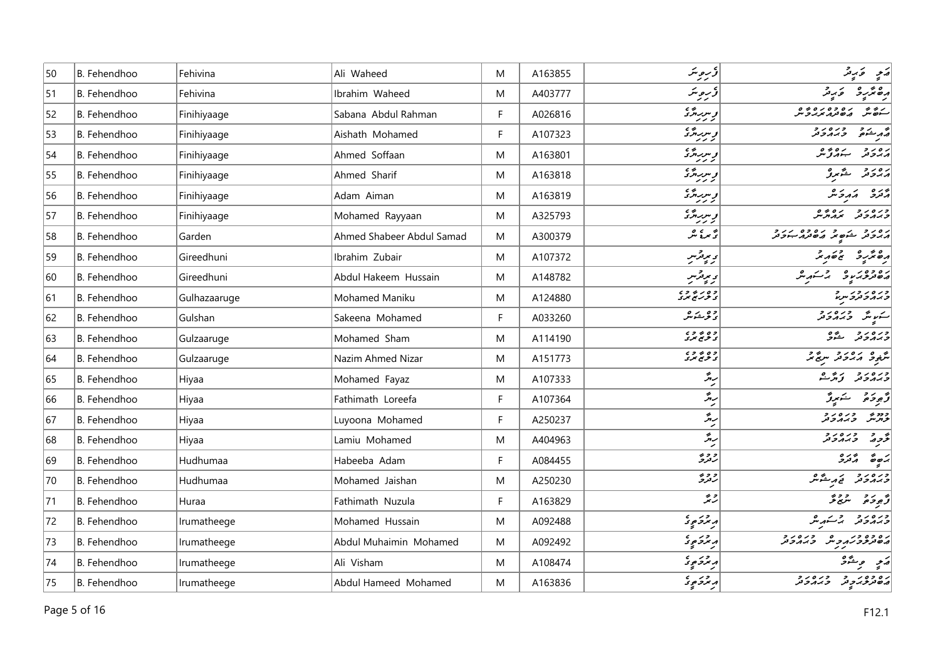| 50 | B. Fehendhoo | Fehivina     | Ali Waheed                | M | A163855 | ۇر <sub>ە</sub> بىر<br>سىرىپ       | ە ئەرەر<br>مەسىمە                                        |
|----|--------------|--------------|---------------------------|---|---------|------------------------------------|----------------------------------------------------------|
| 51 | B. Fehendhoo | Fehivina     | Ibrahim Waheed            | M | A403777 | ۇرەبىر                             |                                                          |
| 52 | B. Fehendhoo | Finihiyaage  | Sabana Abdul Rahman       | F | A026816 | و سربر پژی<br>زیر بر               | ره وه د ره و ه<br>پره تور <i>پر ب</i> ر و س<br>يە ئە     |
| 53 | B. Fehendhoo | Finihiyaage  | Aishath Mohamed           | F | A107323 | او سربر دی<br><u>سب</u>            | ه دره دره دره<br>په شوه در درد                           |
| 54 | B. Fehendhoo | Finihiyaage  | Ahmed Soffaan             | M | A163801 | و سربر پر مح<br>مربر مربو          | رەرد رەپەر                                               |
| 55 | B. Fehendhoo | Finihiyaage  | Ahmed Sharif              | M | A163818 | و سربر پر پر<br>تر تر تر پر        | رەرد شەر                                                 |
| 56 | B. Fehendhoo | Finihiyaage  | Adam Aiman                | M | A163819 | و سربر پر <sup>ی</sup><br>بر بر بر | أروه أأركب                                               |
| 57 | B. Fehendhoo | Finihiyaage  | Mohamed Rayyaan           | M | A325793 | و سربر پژی<br>تر بر بر             | כנסנכ נספס<br>כגתכת המתית                                |
| 58 | B. Fehendhoo | Garden       | Ahmed Shabeer Abdul Samad | M | A300379 | ۇ بىر ئا بىر                       | ره روپه شوه مره وه د روپه<br>مدرونتر شوه مره مره مسورتر  |
| 59 | B. Fehendhoo | Gireedhuni   | Ibrahim Zubair            | M | A107372 | ء موترسر<br>تربی                   | 7102 7701                                                |
| 60 | B. Fehendhoo | Gireedhuni   | Abdul Hakeem Hussain      | M | A148782 | ء موترمبر<br>گريخ                  |                                                          |
| 61 | B. Fehendhoo | Gulhazaaruge | Mohamed Maniku            | M | A124880 | و ہ ر بر و ،<br>ى محرم تی بوى      | و ر ٥ ر و ر<br>د بر بر <del>د</del> بر ر و               |
| 62 | B. Fehendhoo | Gulshan      | Sakeena Mohamed           | F | A033260 | <sup>و و</sup> شتر ش               | سَرِیدٌ دره ردّ                                          |
| 63 | B. Fehendhoo | Gulzaaruge   | Mohamed Sham              | M | A114190 | و ه پر و ء<br>د نومځ مرد           | ورەرو شۇھ                                                |
| 64 | B. Fehendhoo | Gulzaaruge   | Nazim Ahmed Nizar         | M | A151773 | و ه پر و ،<br>د نومځ مرد           | شَعْرِ 3 م م حرم سرچ مر                                  |
| 65 | B. Fehendhoo | Hiyaa        | Mohamed Fayaz             | M | A107333 | ريژ                                | ورەرو روم                                                |
| 66 | B. Fehendhoo | Hiyaa        | Fathimath Loreefa         | F | A107364 | ىرىتر                              | أواوة والمستميرة                                         |
| 67 | B. Fehendhoo | Hiyaa        | Luyoona Mohamed           | F | A250237 | ربز                                | כמי כנסגב<br>יכתית כמתכת                                 |
| 68 | B. Fehendhoo | Hiyaa        | Lamiu Mohamed             | M | A404963 | رپڙ                                | و رە ر د<br>تر پر گرىر<br>لمحرور                         |
| 69 | B. Fehendhoo | Hudhumaa     | Habeeba Adam              | F | A084455 | و و په<br>رندون                    | رُەڭ گەنرە                                               |
| 70 | B. Fehendhoo | Hudhumaa     | Mohamed Jaishan           | M | A250230 | و و په<br>ر ترو                    | ورەرو يەرشەر                                             |
| 71 | B. Fehendhoo | Huraa        | Fathimath Nuzula          | F | A163829 | ريجه                               | توجوجو المرجوع                                           |
| 72 | B. Fehendhoo | Irumatheege  | Mohamed Hussain           | M | A092488 | ېر تر <i>دې</i><br>ر               | ورەرو چەكەر                                              |
| 73 | B. Fehendhoo | Irumatheege  | Abdul Muhaimin Mohamed    | M | A092492 | <br>  بر بر د ځو د                 |                                                          |
| 74 | B. Fehendhoo | Irumatheege  | Ali Visham                | M | A108474 | ېر تر دې<br>رسمر د ځو              | أتكمح ويشرق                                              |
| 75 | B. Fehendhoo | Irumatheege  | Abdul Hameed Mohamed      | M | A163836 | ېر تر دې<br>رسمر د ځو              | נס כסנ <sub>ק</sub> כ- כנסניב<br>הסתו <i>בג</i> קה כגהכת |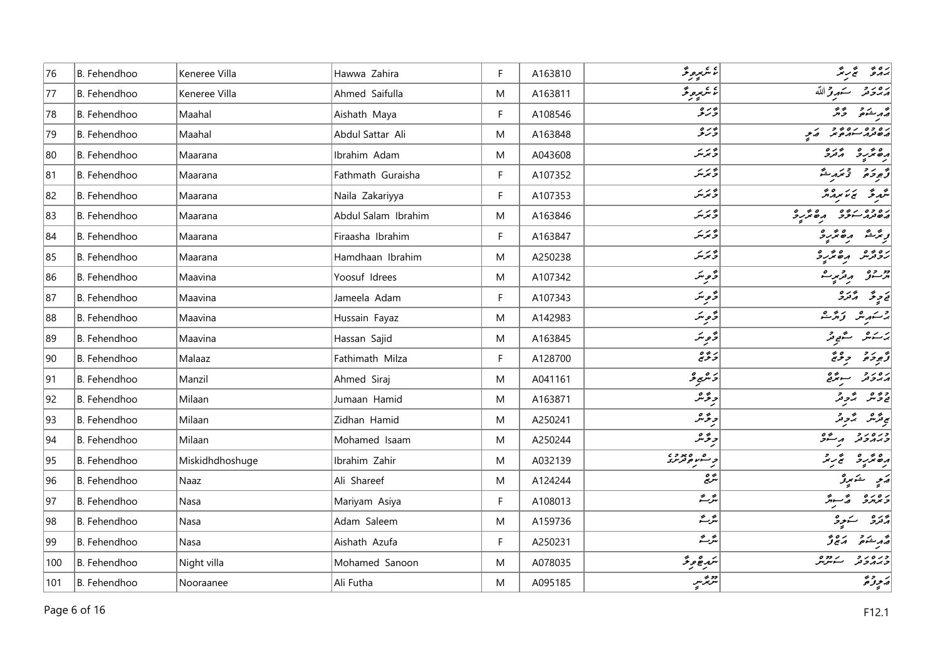| 76           | B. Fehendhoo | Keneree Villa   | Hawwa Zahira        | F | A163810 | ، ئەبىرە ق <sup>ى</sup>     | پچ سر پټر<br>م<br>ره و                           |
|--------------|--------------|-----------------|---------------------|---|---------|-----------------------------|--------------------------------------------------|
| 77           | B. Fehendhoo | Keneree Villa   | Ahmed Saifulla      | M | A163811 | ئۈمكىرە ئۇ                  | بر ه بر د<br>م.بر <del>د</del> تر<br>كوبوتر الله |
| 78           | B. Fehendhoo | Maahal          | Aishath Maya        | F | A108546 | ۇرۇ                         | أمار أيتموه المحامر                              |
| 79           | B. Fehendhoo | Maahal          | Abdul Sattar Ali    | M | A163848 | ۇرۇ                         | 1000 1000 CM                                     |
| 80           | B. Fehendhoo | Maarana         | Ibrahim Adam        | M | A043608 | ۇئرىئە                      | ם מינים הינים<br>קיסוקיים הינים                  |
| 81           | B. Fehendhoo | Maarana         | Fathmath Guraisha   | F | A107352 | پە بەر<br>جەنبىتر           | وموده ومحمدة                                     |
| 82           | B. Fehendhoo | Maarana         | Naila Zakariyya     | F | A107353 | ۇ ئەنىر                     | ing it is in                                     |
| 83           | B. Fehendhoo | Maarana         | Abdul Salam Ibrahim | M | A163846 | وممرس                       | גם כם גובם הפודגים                               |
| 84           | B. Fehendhoo | Maarana         | Firaasha Ibrahim    | F | A163847 | ۇ ئرىئر                     | دە ئەرى<br>أوبمرث                                |
| 85           | B. Fehendhoo | Maarana         | Hamdhaan Ibrahim    | M | A250238 | ۇئرىئە                      | ەر ھەئرىر 2<br>ر<br>رە پەھ                       |
| 86           | B. Fehendhoo | Maavina         | Yoosuf Idrees       | M | A107342 | د گھر مگر<br>م              | ىر تېرىپە<br>س<br>در مشرو<br>مرگ شور             |
| 87           | B. Fehendhoo | Maavina         | Jameela Adam        | F | A107343 | ۇ <sub>جو بىكە</sub>        | تحاريج الممترد                                   |
| 88           | B. Fehendhoo | Maavina         | Hussain Fayaz       | M | A142983 | د گھر مگر<br>م              | برستهرش ترترشه                                   |
| 89           | B. Fehendhoo | Maavina         | Hassan Sajid        | M | A163845 | ۇ ئەسىر                     | ىر كەشىرا سەھ <sub>ى</sub> رىز                   |
| $ 90\rangle$ | B. Fehendhoo | Malaaz          | Fathimath Milza     | F | A128700 | ىر بۇ ھ                     | وتجوخني وفرعج                                    |
| 91           | B. Fehendhoo | Manzil          | Ahmed Siraj         | M | A041161 | ۇ ئىرىپە ۋ                  | ر ه ر د<br>پرګوگر<br>سوپڑھ                       |
| 92           | B. Fehendhoo | Milaan          | Jumaan Hamid        | M | A163871 | جرځىگە                      | و په مه مه مه د                                  |
| 93           | B. Fehendhoo | Milaan          | Zidhan Hamid        | M | A250241 | جرځىگر                      | ىبې قرىتر<br>برٌحرِ قر                           |
| 94           | B. Fehendhoo | Milaan          | Mohamed Isaam       | M | A250244 | جرځىگە                      | ورەرو رىمى                                       |
| 95           | B. Fehendhoo | Miskidhdhoshuge | Ibrahim Zahir       | M | A032139 | د ره ره بود د<br>د سوره ترس |                                                  |
| 96           | B. Fehendhoo | Naaz            | Ali Shareef         | M | A124244 | سرچ                         | ر<br>دي خوړو                                     |
| 97           | B. Fehendhoo | Nasa            | Mariyam Asiya       | F | A108013 | ىئرىشە                      | $rac{1}{2}$<br>رشمستر                            |
| 98           | B. Fehendhoo | Nasa            | Adam Saleem         | M | A159736 | ىئرىشە                      | سەرد<br>په ره<br>د ترو                           |
| 99           | B. Fehendhoo | Nasa            | Aishath Azufa       | F | A250231 | ىئرىئە                      | و در ده ده در د                                  |
| 100          | B. Fehendhoo | Night villa     | Mohamed Sanoon      | M | A078035 | ىئەر ھەر ئ                  | سەمىرىتر<br>و ر ه ر د<br><i>و بر</i> پر تر       |
| 101          | B. Fehendhoo | Nooraanee       | Ali Futha           | M | A095185 | دور<br>مرتز سر              | ە بېروپ                                          |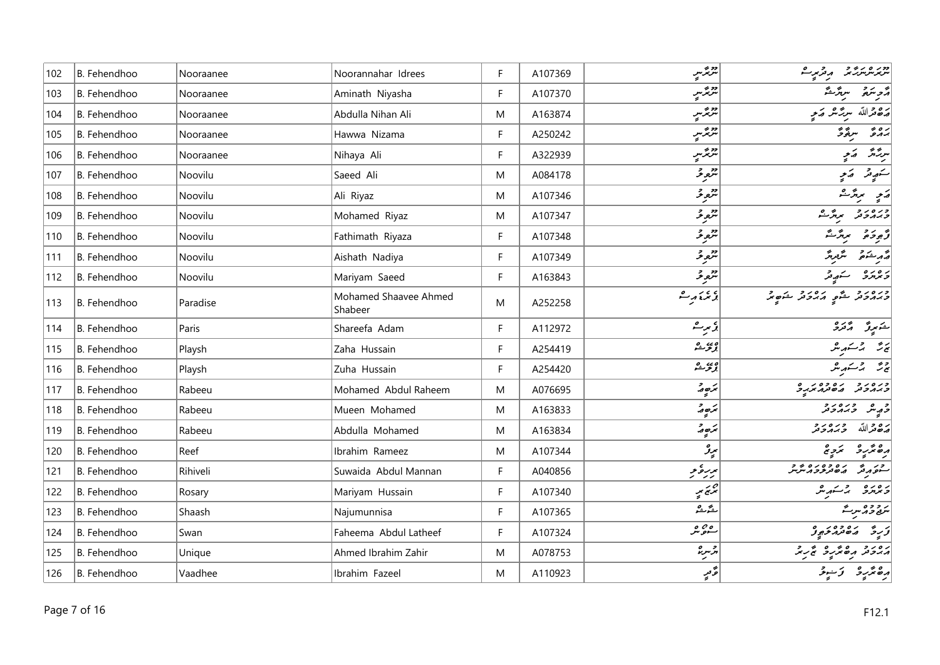| 102 | B. Fehendhoo | Nooraanee | Noorannahar Idrees               | F           | A107369 | دور<br>مرتز سر                  | در مریز کرد.<br>سرپر سربر کرد کرد که در ایران |
|-----|--------------|-----------|----------------------------------|-------------|---------|---------------------------------|-----------------------------------------------|
| 103 | B. Fehendhoo | Nooraanee | Aminath Niyasha                  | F           | A107370 | دور<br>سرپرسر                   |                                               |
| 104 | B. Fehendhoo | Nooraanee | Abdulla Nihan Ali                | M           | A163874 | دور<br>مربر سر                  | رە قەللە سرتەشر مەر                           |
| 105 | B. Fehendhoo | Nooraanee | Hawwa Nizama                     | F           | A250242 | دور<br>مرتز سر                  | سرة و<br> رەپچ                                |
| 106 | B. Fehendhoo | Nooraanee | Nihaya Ali                       | F           | A322939 | دور<br>مرتز سر                  | سرشهر<br>رځ په                                |
| 107 | B. Fehendhoo | Noovilu   | Saeed Ali                        | M           | A084178 | يتر <sub>عر قحر</sub>           | سەمەتىر<br>ەنىيە                              |
| 108 | B. Fehendhoo | Noovilu   | Ali Riyaz                        | M           | A107346 | يتر <sub>عر قحر</sub>           | ړې برگر شو                                    |
| 109 | B. Fehendhoo | Noovilu   | Mohamed Riyaz                    | M           | A107347 | يتر <sub>عر قحر</sub>           | ورەرو بروگ                                    |
| 110 | B. Fehendhoo | Noovilu   | Fathimath Riyaza                 | $\mathsf F$ | A107348 | يتر <sub>عر قح</sub>            | ؤودة برزمة                                    |
| 111 | B. Fehendhoo | Noovilu   | Aishath Nadiya                   | $\mathsf F$ | A107349 | لترعر فخر                       | ەگەرىشى ئىگىرەگە                              |
| 112 | B. Fehendhoo | Noovilu   | Mariyam Saeed                    | F           | A163843 | لترويحه                         | .<br>כמתכ המיל                                |
| 113 | B. Fehendhoo | Paradise  | Mohamed Shaavee Ahmed<br>Shabeer | M           | A252258 | ې ترې <sub>م</sub> ره<br>بر ترې | ورەر دېم شگې مارد دېم کې                      |
| 114 | B. Fehendhoo | Paris     | Shareefa Adam                    | F           | A112972 | إؤبرب                           | ىشكىرۇ ئەرەكتە<br>ئە<br>ەترو                  |
| 115 | B. Fehendhoo | Playsh    | Zaha Hussain                     | F           | A254419 | ە يە<br>بۇ بۇ شە                | ى ئەسكىرىش                                    |
| 116 | B. Fehendhoo | Playsh    | Zuha Hussain                     | F           | A254420 | ە يە<br>بۇ پىشىر                | ج ج من محمد مثر الم                           |
| 117 | B. Fehendhoo | Rabeeu    | Mohamed Abdul Raheem             | M           | A076695 | ر<br>برّه پر                    |                                               |
| 118 | B. Fehendhoo | Rabeeu    | Mueen Mohamed                    | M           | A163833 | پر چەر                          | ویه وره دو                                    |
| 119 | B. Fehendhoo | Rabeeu    | Abdulla Mohamed                  | M           | A163834 | پر چەر                          | رە دالله دېرەرد                               |
| 120 | B. Fehendhoo | Reef      | Ibrahim Rameez                   | M           | A107344 | ىدىۋ                            | رە ئۆر ئىچ                                    |
| 121 | B. Fehendhoo | Rihiveli  | Suwaida Abdul Mannan             | F           | A040856 | بررؤو                           | رور په ره وه ره په و                          |
| 122 | B. Fehendhoo | Rosary    | Mariyam Hussain                  | F           | A107340 | ص پر<br>تنزیج سمپر              | و مرده و مرد                                  |
| 123 | B. Fehendhoo | Shaash    | Najumunnisa                      | F           | A107365 | ے گے۔                           | ر دوه مرت                                     |
| 124 | B. Fehendhoo | Swan      | Faheema Abdul Latheef            | F           | A107324 | ە يە ھ                          | تر برگ مان ده ده در و                         |
| 125 | B. Fehendhoo | Unique    | Ahmed Ibrahim Zahir              | M           | A078753 | وژسررا                          |                                               |
| 126 | B. Fehendhoo | Vaadhee   | Ibrahim Fazeel                   | M           | A110923 | حٌسٍ                            | رەنۇر ئۈن                                     |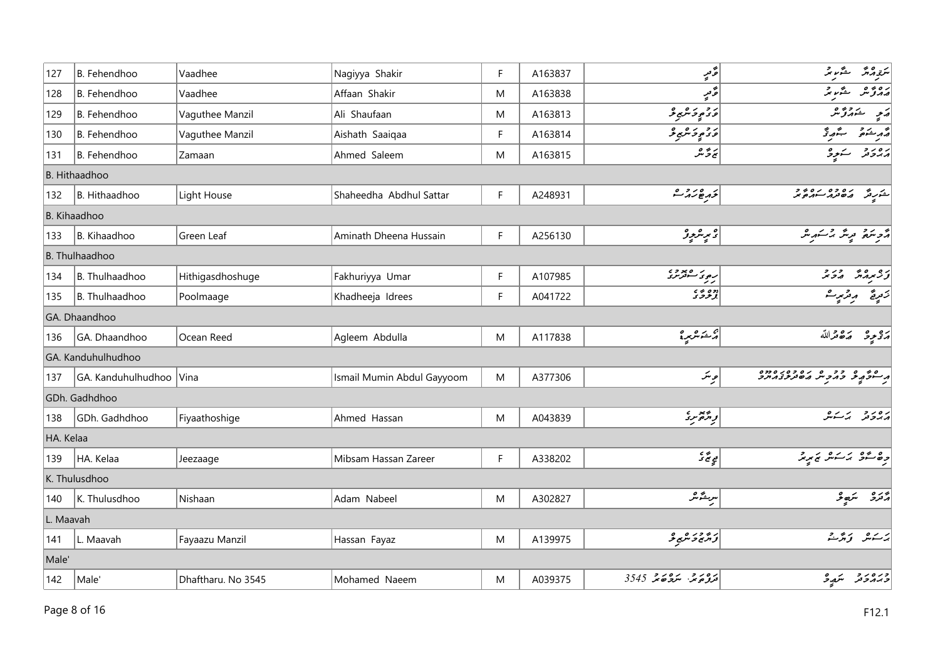| 127       | B. Fehendhoo            | Vaadhee            | Nagiyya Shakir             | F         | A163837 | ر<br>حومر                              | ىئرقى ھەر                                            |
|-----------|-------------------------|--------------------|----------------------------|-----------|---------|----------------------------------------|------------------------------------------------------|
| 128       | B. Fehendhoo            | Vaadhee            | Affaan Shakir              | M         | A163838 | ر<br>ح <sup>5</sup> تو                 | رەۋش شىرتى<br>مەدۋش شىرتى                            |
| 129       | B. Fehendhoo            | Vaguthee Manzil    | Ali Shaufaan               | M         | A163813 | ر د په د شمېر و                        |                                                      |
| 130       | B. Fehendhoo            | Vaguthee Manzil    | Aishath Saaiqaa            | F         | A163814 | ر و <sub>مو</sub> ځ ش <sub>م</sub> و څ | ۇرىشقى بەرق                                          |
| 131       | B. Fehendhoo            | Zamaan             | Ahmed Saleem               | ${\sf M}$ | A163815 | ىر ئەھ<br>ئى خەشر                      | ړه رول کرونی                                         |
|           | B. Hithaadhoo           |                    |                            |           |         |                                        |                                                      |
| 132       | B. Hithaadhoo           | Light House        | Shaheedha Abdhul Sattar    | F         | A248931 | خەرقە ئەرمى                            | شر ده وه ده د <del>ه د</del><br>شردگر های ده سهره بر |
|           | B. Kihaadhoo            |                    |                            |           |         |                                        |                                                      |
| 133       | B. Kihaadhoo            | Green Leaf         | Aminath Dheena Hussain     | F         | A256130 | د س <sub>ي</sub> شر پور                | ۇچە ئويۇ جامئويى                                     |
|           | B. Thulhaadhoo          |                    |                            |           |         |                                        |                                                      |
| 134       | B. Thulhaadhoo          | Hithigasdhoshuge   | Fakhuriyya Umar            | F         | A107985 | اره د حود ده<br>اره د سوربرد           | تزريد ويدد                                           |
| 135       | B. Thulhaadhoo          | Poolmaage          | Khadheeja Idrees           | F         | A041722 | ده ه » »<br>و و و د                    |                                                      |
|           | GA. Dhaandhoo           |                    |                            |           |         |                                        |                                                      |
| 136       | GA. Dhaandhoo           | Ocean Reed         | Agleem Abdulla             | M         | A117838 | ە ئەيەتكە يەرى<br>م                    | برءجو بره قرالله                                     |
|           | GA. Kanduhulhudhoo      |                    |                            |           |         |                                        |                                                      |
| 137       | GA. Kanduhulhudhoo Vina |                    | Ismail Mumin Abdul Gayyoom | ${\sf M}$ | A377306 | حريتر                                  | ם כם כם כם הספט ספס.<br>תי ייכתי בתקיית השתיבבתית    |
|           | GDh. Gadhdhoo           |                    |                            |           |         |                                        |                                                      |
| 138       | GDh. Gadhdhoo           | Fiyaathoshige      | Ahmed Hassan               | ${\sf M}$ | A043839 | ويمحر                                  | رەرو پرىكىر                                          |
| HA. Kelaa |                         |                    |                            |           |         |                                        |                                                      |
| 139       | HA. Kelaa               | Jeezaage           | Mibsam Hassan Zareer       | F         | A338202 | و گري<br>في گ                          | دە مەدەر بەسەس ئايرىم                                |
|           | K. Thulusdhoo           |                    |                            |           |         |                                        |                                                      |
| 140       | K. Thulusdhoo           | Nishaan            | Adam Nabeel                | M         | A302827 | اسريقيقر                               | وره سرّحه و                                          |
| L. Maavah |                         |                    |                            |           |         |                                        |                                                      |
| 141       | L. Maavah               | Fayaazu Manzil     | Hassan Fayaz               | ${\sf M}$ | A139975 | ئەھمىي ئەرگە ئوق                       | برَ سەندە ئەرگرىشە                                   |
| Male'     |                         |                    |                            |           |         |                                        |                                                      |
| 142       | Male'                   | Dhaftharu. No 3545 | Mohamed Naeem              | M         | A039375 | رەر دېر سرۋە پر 3545                   | ورەرو شەۋ                                            |
|           |                         |                    |                            |           |         |                                        |                                                      |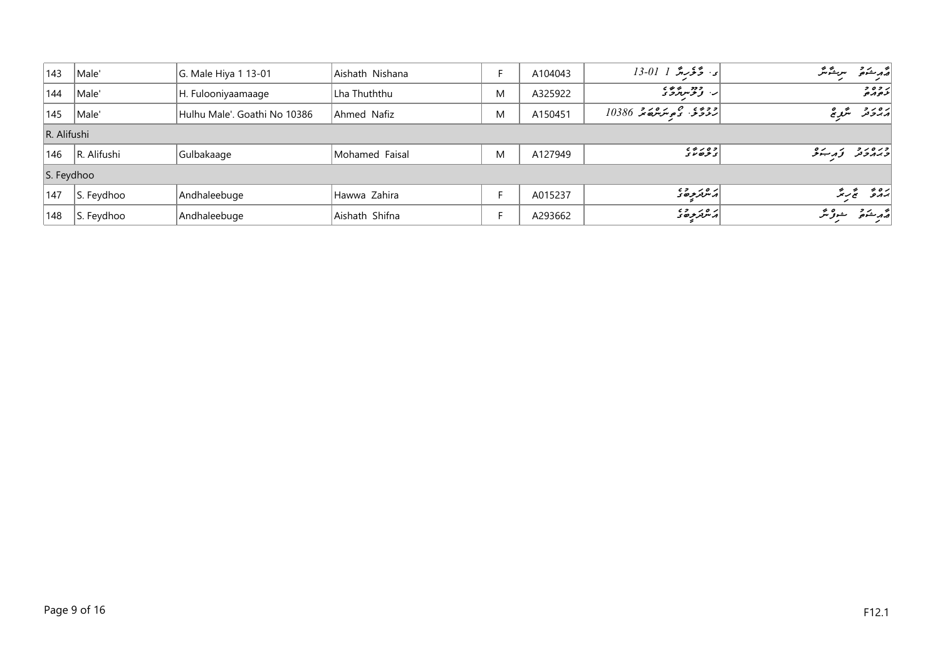| 143         | Male'       | G. Male Hiya 1 13-01         | Aishath Nishana |   | A104043 | $13-01$ $13-25$ ، ج                       | أقدار مشوقه المستوسر       |
|-------------|-------------|------------------------------|-----------------|---|---------|-------------------------------------------|----------------------------|
| 144         | Male'       | H. Fulooniyaamaage           | Lha Thuththu    | M | A325922 | ر په وجوړ په ده کا                        | ر و ه د<br>ند <i>و د</i> م |
| 145         | Male'       | Hulhu Male'. Goathi No 10386 | Ahmed Nafiz     | M | A150451 | $10386$ لِمَوْتَوَسِعَةِ $2$ 53.86 $\sim$ | پر ژوگر<br>سُمَّدِج        |
| R. Alifushi |             |                              |                 |   |         |                                           |                            |
| 146         | R. Alifushi | Gulbakaage                   | Mohamed Faisal  | M | A127949 | وه رپو ء<br>  د نوه نو د                  | ورەرو كەسكى                |
| S. Feydhoo  |             |                              |                 |   |         |                                           |                            |
| 147         | S. Feydhoo  | Andhaleebuge                 | Hawwa Zahira    |   | A015237 | ژهرد و ه                                  | پرویچ<br>پم سر تئر<br>سم   |
| 148         | S. Feydhoo  | Andhaleebuge                 | Aishath Shifna  |   | A293662 | پر عزيز پر د م<br>  پر سر ټر پر ده ک      | أَمَّ مِ سُوَّ مِ مَسْرِ   |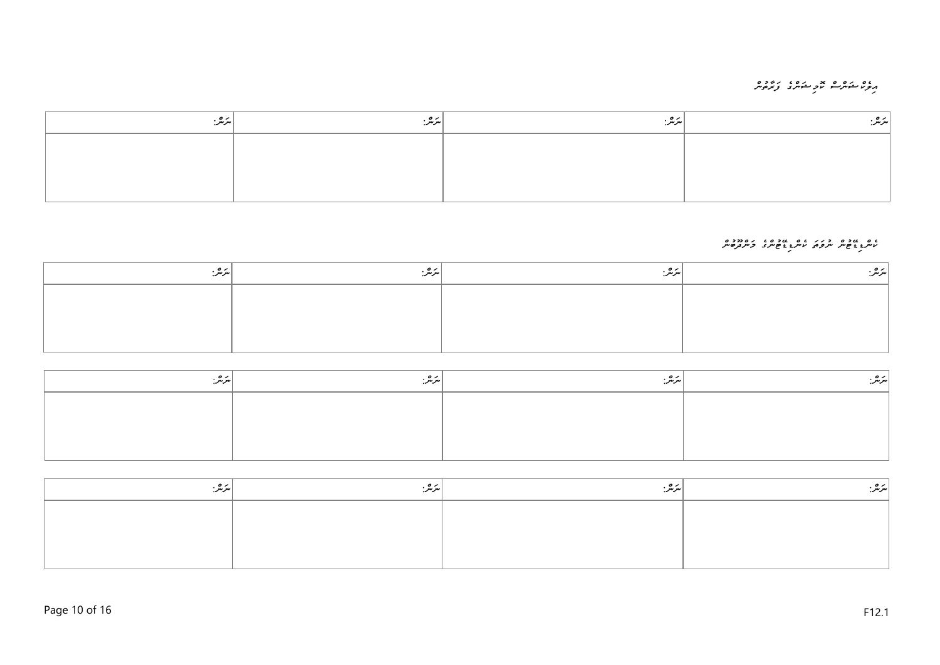## *w7qAn8m? sCw7mRo>u; wEw7mRw;sBo<*

| ' مرمر | 'يئرىثر: |
|--------|----------|
|        |          |
|        |          |
|        |          |

## *w7q9r@w7m> sCw7qHtFoFw7s; mAm=q7 w7qHtFoFw7s;*

| ىر تە | $\mathcal{O} \times$<br>$\sim$ | $\sim$<br>. . | لترنثر |
|-------|--------------------------------|---------------|--------|
|       |                                |               |        |
|       |                                |               |        |
|       |                                |               |        |

| $\frac{2}{n}$ | $\overline{\phantom{a}}$ | اير هنه. | $\mathcal{O} \times$<br>سرسر |
|---------------|--------------------------|----------|------------------------------|
|               |                          |          |                              |
|               |                          |          |                              |
|               |                          |          |                              |

| ىرتىر: | 。<br>سر سر | .,<br>مرسر |
|--------|------------|------------|
|        |            |            |
|        |            |            |
|        |            |            |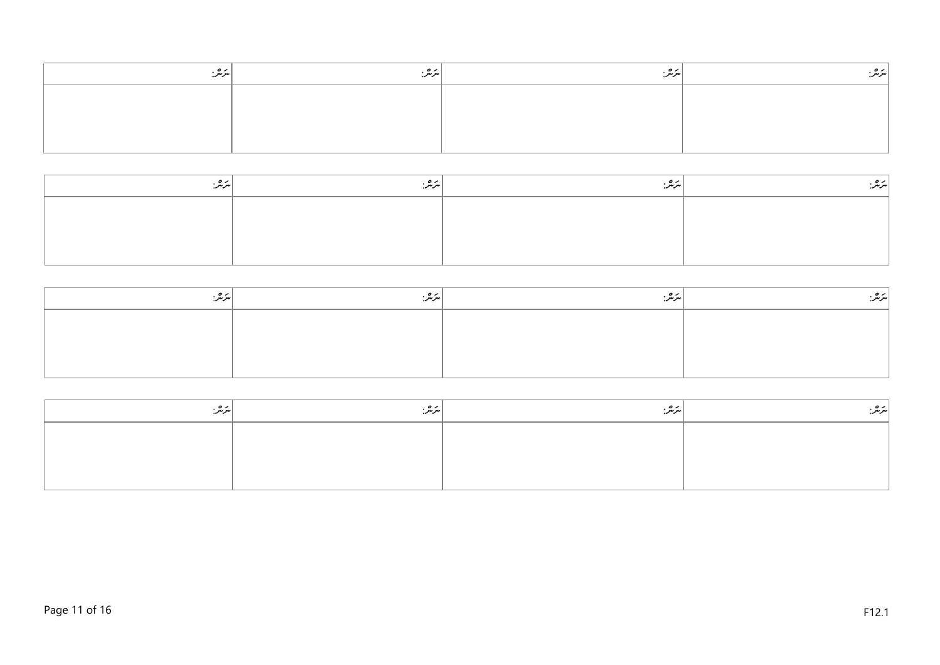| يزهر | $^{\circ}$ | ىئرىتر: |  |
|------|------------|---------|--|
|      |            |         |  |
|      |            |         |  |
|      |            |         |  |

| متريثر به | 。<br>َ سرسر ِ | يتزيترا | سرسر |
|-----------|---------------|---------|------|
|           |               |         |      |
|           |               |         |      |
|           |               |         |      |

| ىئرىتر. | $\sim$ | ا بر هه. | لىرىش |
|---------|--------|----------|-------|
|         |        |          |       |
|         |        |          |       |
|         |        |          |       |

| $\overline{\phantom{a}}$<br>سرس. | ر ه<br>,,, | . . | 。<br>سرس. |
|----------------------------------|------------|-----|-----------|
|                                  |            |     |           |
|                                  |            |     |           |
|                                  |            |     |           |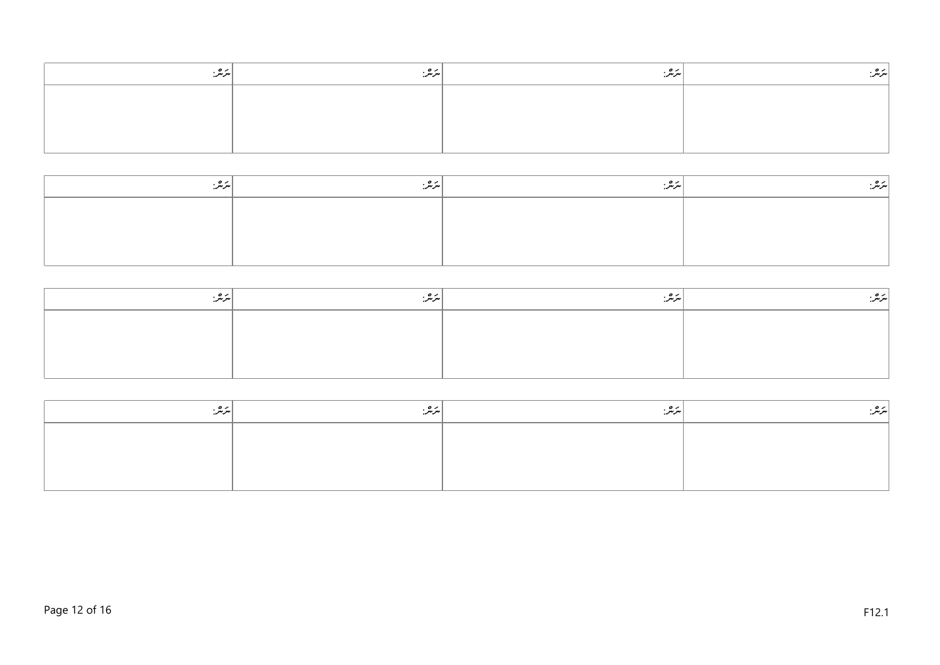| ير هو . | $\overline{\phantom{a}}$ | يرمر | اير هنه. |
|---------|--------------------------|------|----------|
|         |                          |      |          |
|         |                          |      |          |
|         |                          |      |          |

| ئىرتىر: | $\sim$<br>ا سرسر . | يئرمثر | o . |
|---------|--------------------|--------|-----|
|         |                    |        |     |
|         |                    |        |     |
|         |                    |        |     |

| 'تترنثر: | 。<br>,,,, |  |
|----------|-----------|--|
|          |           |  |
|          |           |  |
|          |           |  |

|  | . ه |
|--|-----|
|  |     |
|  |     |
|  |     |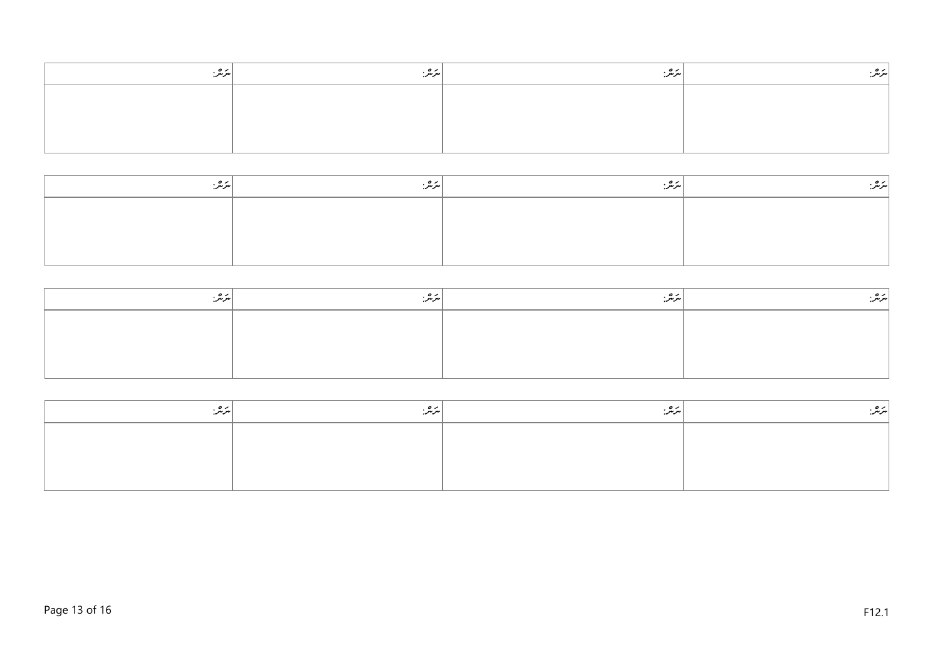| ير هو . | $\overline{\phantom{a}}$ | يرمر | اير هنه. |
|---------|--------------------------|------|----------|
|         |                          |      |          |
|         |                          |      |          |
|         |                          |      |          |

| ئىرتىر: | $\sim$<br>ا سرسر . | يئرمثر | o . |
|---------|--------------------|--------|-----|
|         |                    |        |     |
|         |                    |        |     |
|         |                    |        |     |

| نتزيتر به | 。 | 。<br>سرسر. | o <i>~</i> |
|-----------|---|------------|------------|
|           |   |            |            |
|           |   |            |            |
|           |   |            |            |

|  | . ه |
|--|-----|
|  |     |
|  |     |
|  |     |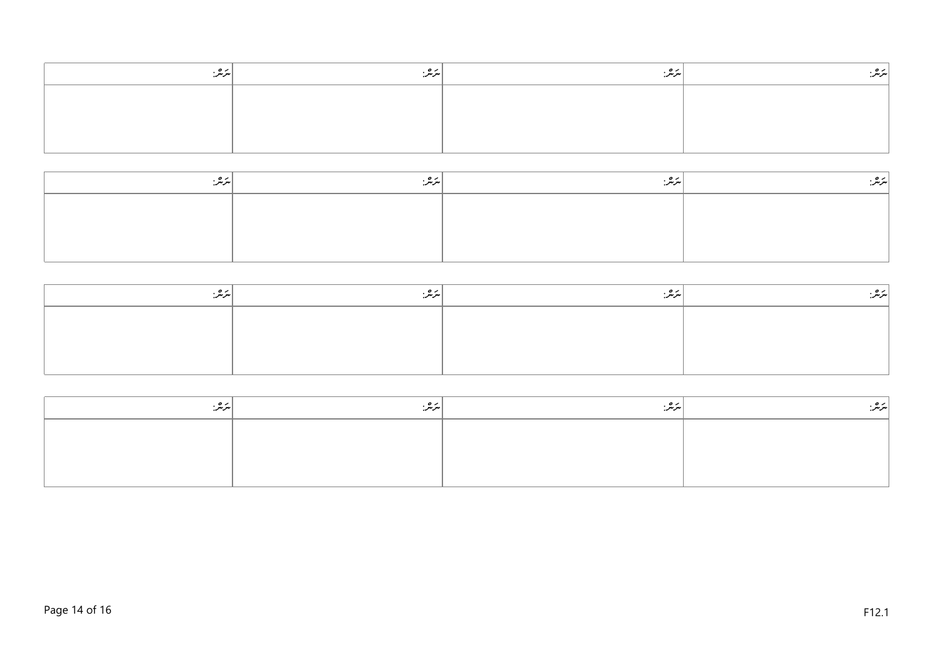| $\cdot$ | 。 | $\frac{\circ}{\cdot}$ | $\sim$<br>سرسر |
|---------|---|-----------------------|----------------|
|         |   |                       |                |
|         |   |                       |                |
|         |   |                       |                |

| ايرعر: | ر ه<br>. . |  |
|--------|------------|--|
|        |            |  |
|        |            |  |
|        |            |  |

| بر ه | 。 | $\sim$<br>َ سومس. |  |
|------|---|-------------------|--|
|      |   |                   |  |
|      |   |                   |  |
|      |   |                   |  |

| 。<br>. س | ىرىىر |  |
|----------|-------|--|
|          |       |  |
|          |       |  |
|          |       |  |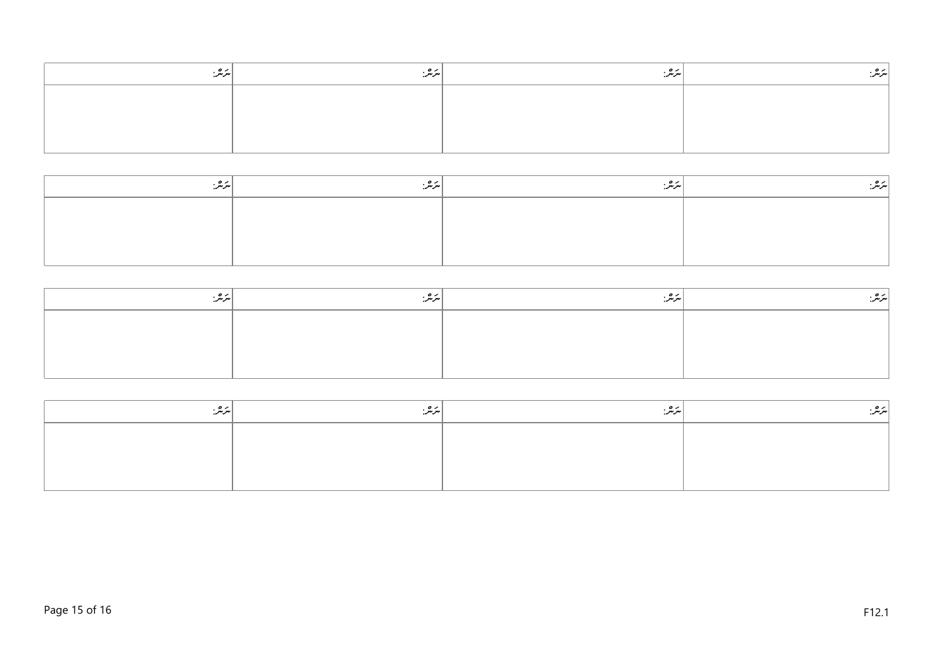| ير هو . | $\overline{\phantom{a}}$ | يرمر | اير هنه. |
|---------|--------------------------|------|----------|
|         |                          |      |          |
|         |                          |      |          |
|         |                          |      |          |

| ىئرىتى: | الترنثين | ا بر هر: | o <i>~</i><br>َ سرسر |
|---------|----------|----------|----------------------|
|         |          |          |                      |
|         |          |          |                      |
|         |          |          |                      |

| نتزيتر به | 。 | 。<br>سرسر. | o <i>~</i> |
|-----------|---|------------|------------|
|           |   |            |            |
|           |   |            |            |
|           |   |            |            |

|  | . ه |
|--|-----|
|  |     |
|  |     |
|  |     |